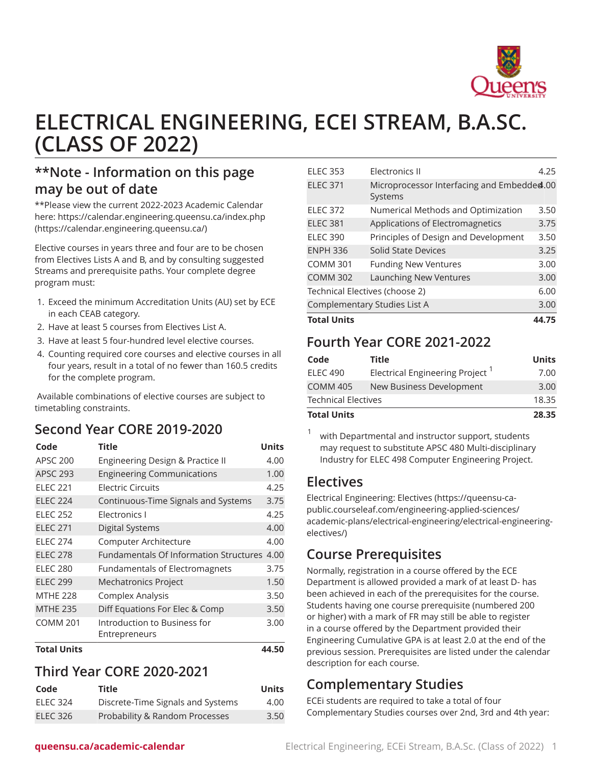

# **ELECTRICAL ENGINEERING, ECEI STREAM, B.A.SC. (CLASS OF 2022)**

#### **\*\*Note - Information on this page may be out of date**

\*\*Please view the current 2022-2023 Academic Calendar here: [https://calendar.engineering.queensu.ca/index.php](https://calendar.engineering.queensu.ca/) ([https://calendar.engineering.queensu.ca/\)](https://calendar.engineering.queensu.ca/)

Elective courses in years three and four are to be chosen from Electives Lists A and B, and by consulting suggested Streams and prerequisite paths. Your complete degree program must:

- 1. Exceed the minimum Accreditation Units (AU) set by ECE in each CEAB category.
- 2. Have at least 5 courses from Electives List A.
- 3. Have at least 5 four-hundred level elective courses.
- 4. Counting required core courses and elective courses in all four years, result in a total of no fewer than 160.5 credits for the complete program.

Available combinations of elective courses are subject to timetabling constraints.

## **Second Year CORE 2019-2020**

| Code               | <b>Title</b>                                  | <b>Units</b> |
|--------------------|-----------------------------------------------|--------------|
| <b>APSC 200</b>    | Engineering Design & Practice II              | 4.00         |
| <b>APSC 293</b>    | <b>Engineering Communications</b>             | 1.00         |
| <b>ELEC 221</b>    | <b>Flectric Circuits</b>                      | 4.25         |
| <b>ELEC 224</b>    | Continuous-Time Signals and Systems           | 3.75         |
| <b>ELEC 252</b>    | <b>Flectronics I</b>                          | 4.25         |
| <b>ELEC 271</b>    | <b>Digital Systems</b>                        | 4.00         |
| <b>ELEC 274</b>    | Computer Architecture                         | 4.00         |
| <b>ELEC 278</b>    | <b>Fundamentals Of Information Structures</b> | 4.00         |
| <b>ELEC 280</b>    | <b>Fundamentals of Electromagnets</b>         | 3.75         |
| <b>ELEC 299</b>    | <b>Mechatronics Project</b>                   | 1.50         |
| <b>MTHE 228</b>    | Complex Analysis                              | 3.50         |
| <b>MTHE 235</b>    | Diff Equations For Elec & Comp                | 3.50         |
| <b>COMM 201</b>    | Introduction to Business for                  | 3.00         |
|                    | Entrepreneurs                                 |              |
| <b>Total Units</b> |                                               | 44.50        |

#### **Third Year CORE 2020-2021**

| Code            | Title                             | Units |
|-----------------|-----------------------------------|-------|
| ELEC 324        | Discrete-Time Signals and Systems | 4.00  |
| <b>ELEC 326</b> | Probability & Random Processes    | 3.50  |

| <b>ELEC 353</b>                | <b>Flectronics II</b>                                 | 4.25 |
|--------------------------------|-------------------------------------------------------|------|
| <b>ELEC 371</b>                | Microprocessor Interfacing and Embedded.00<br>Systems |      |
| <b>ELEC 372</b>                | Numerical Methods and Optimization                    | 3.50 |
| <b>ELEC 381</b>                | Applications of Electromagnetics                      | 3.75 |
| <b>ELEC 390</b>                | Principles of Design and Development                  | 3.50 |
| <b>ENPH 336</b>                | Solid State Devices                                   | 3.25 |
| <b>COMM 301</b>                | <b>Funding New Ventures</b>                           | 3.00 |
| <b>COMM 302</b>                | Launching New Ventures                                | 3.00 |
| Technical Electives (choose 2) |                                                       |      |
| Complementary Studies List A   |                                                       |      |
| <b>Total Units</b>             |                                                       |      |

### **Fourth Year CORE 2021-2022**

| Code                       | Title                                       | <b>Units</b> |
|----------------------------|---------------------------------------------|--------------|
| <b>ELEC 490</b>            | Electrical Engineering Project <sup>1</sup> | 7.00         |
| <b>COMM 405</b>            | New Business Development                    | 3.00         |
| <b>Technical Electives</b> |                                             | 18.35        |
| <b>Total Units</b>         |                                             | 28.35        |

with Departmental and instructor support, students may request to substitute [APSC 480](/search/?P=APSC%20480) Multi-disciplinary Industry for [ELEC 498](/search/?P=ELEC%20498) Computer Engineering Project.

#### **Electives**

1

[Electrical Engineering: Electives](https://queensu-ca-public.courseleaf.com/engineering-applied-sciences/academic-plans/electrical-engineering/electrical-engineering-electives/) [\(https://queensu-ca](https://queensu-ca-public.courseleaf.com/engineering-applied-sciences/academic-plans/electrical-engineering/electrical-engineering-electives/)[public.courseleaf.com/engineering-applied-sciences/](https://queensu-ca-public.courseleaf.com/engineering-applied-sciences/academic-plans/electrical-engineering/electrical-engineering-electives/) [academic-plans/electrical-engineering/electrical-engineering](https://queensu-ca-public.courseleaf.com/engineering-applied-sciences/academic-plans/electrical-engineering/electrical-engineering-electives/)[electives/](https://queensu-ca-public.courseleaf.com/engineering-applied-sciences/academic-plans/electrical-engineering/electrical-engineering-electives/))

#### **Course Prerequisites**

Normally, registration in a course offered by the ECE Department is allowed provided a mark of at least D- has been achieved in each of the prerequisites for the course. Students having one course prerequisite (numbered 200 or higher) with a mark of FR may still be able to register in a course offered by the Department provided their Engineering Cumulative GPA is at least 2.0 at the end of the previous session. Prerequisites are listed under the calendar description for each course.

## **Complementary Studies**

ECEi students are required to take a total of four Complementary Studies courses over 2nd, 3rd and 4th year: